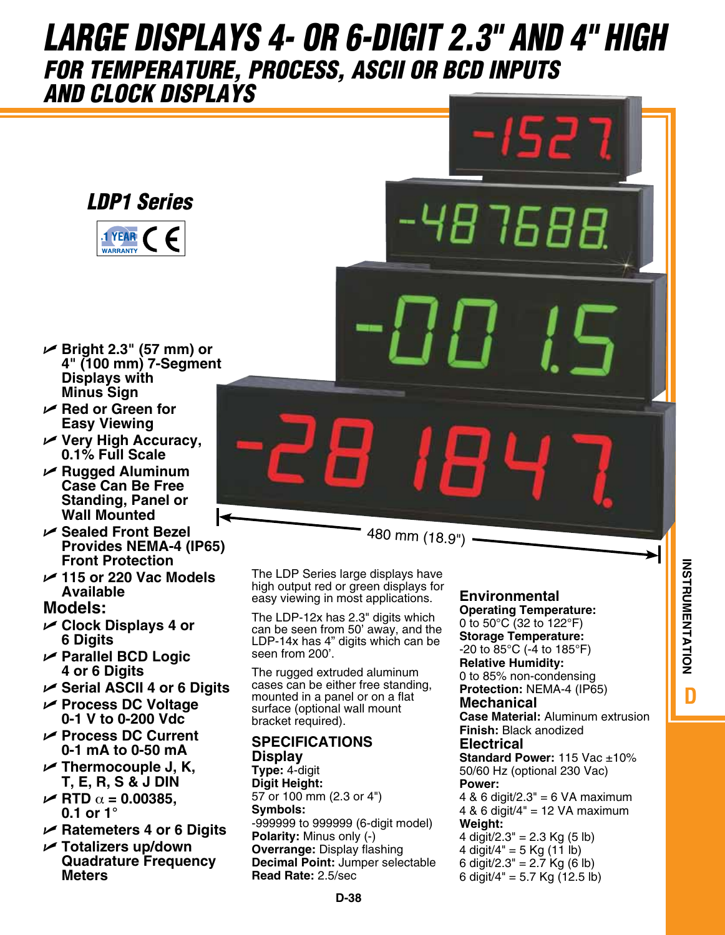# *LARGE DISPLAYS 4- OR 6-DIGIT 2.3" AND 4" HIGH FOR TEMPERATURE, PROCESS, ASCII OR BCD INPUTS AND CLOCK DISPLAYS*

*LDP1 Series*



- U **Bright 2.3" (57 mm) or 4" (100 mm) 7-Segment Displays with Minus Sign**
- U **Red or Green for Easy Viewing**
- U **Very High Accuracy, 0.1% Full Scale**
- U **Rugged Aluminum Case Can Be Free Standing, Panel or Wall Mounted**
- U **Sealed Front Bezel Provides NEMA-4 (IP65) Front Protection**
- U **115 or 220 Vac Models Available**

### **Models:**

- U **Clock Displays 4 or 6 Digits**
- U **Parallel BCD Logic 4 or 6 Digits**
- U **Serial ASCII 4 or 6 Digits**
- U **Process DC Voltage 0-1 V to 0-200 Vdc**
- U **Process DC Current 0-1 mA to 0-50 mA**
- U **Thermocouple J, K, T, E, R, S & J DIN**
- $\angle$  RTD  $\alpha$  = 0.00385, **0.1 or 1°**
- U **Ratemeters 4 or 6 Digits**
- U **Totalizers up/down Quadrature Frequency Meters**

The LDP Series large displays have high output red or green displays for easy viewing in most applications.

480 mm (18.9")

The LDP-12x has 2.3" digits which can be seen from 50' away, and the LDP-14x has 4" digits which can be seen from 200'.

The rugged extruded aluminum cases can be either free standing, mounted in a panel or on a flat surface (optional wall mount bracket required).

#### **SPECIFICATIONS Display**

**Type:** 4-digit **Digit Height:** 57 or 100 mm (2.3 or 4") **Symbols:** -999999 to 999999 (6-digit model) **Polarity:** Minus only (-) **Overrange:** Display flashing **Decimal Point:** Jumper selectable **Read Rate:** 2.5/sec

## **Environmental**

48 7.F.R

**Operating Temperature:** 0 to 50°C (32 to 122°F) **Storage Temperature:** -20 to 85°C (-4 to 185°F) **Relative Humidity:** 0 to 85% non-condensing **Protection:** NEMA-4 (IP65) **Mechanical Case Material:** Aluminum extrusion

**Finish:** Black anodized **Electrical Standard Power: 115 Vac +10%** 

50/60 Hz (optional 230 Vac) **Power:**

 $4$  & 6 digit/2.3" = 6 VA maximum 4 & 6 digit/4" = 12 VA maximum **Weight:** 4 digit/2.3" = 2.3 Kg  $(5 \text{ lb})$ 

4 digit/4" = 5 Kg (11 lb) 6 digit/2.3" =  $2.7$  Kg (6 lb) 6 digit/4" = 5.7 Kg (12.5 lb)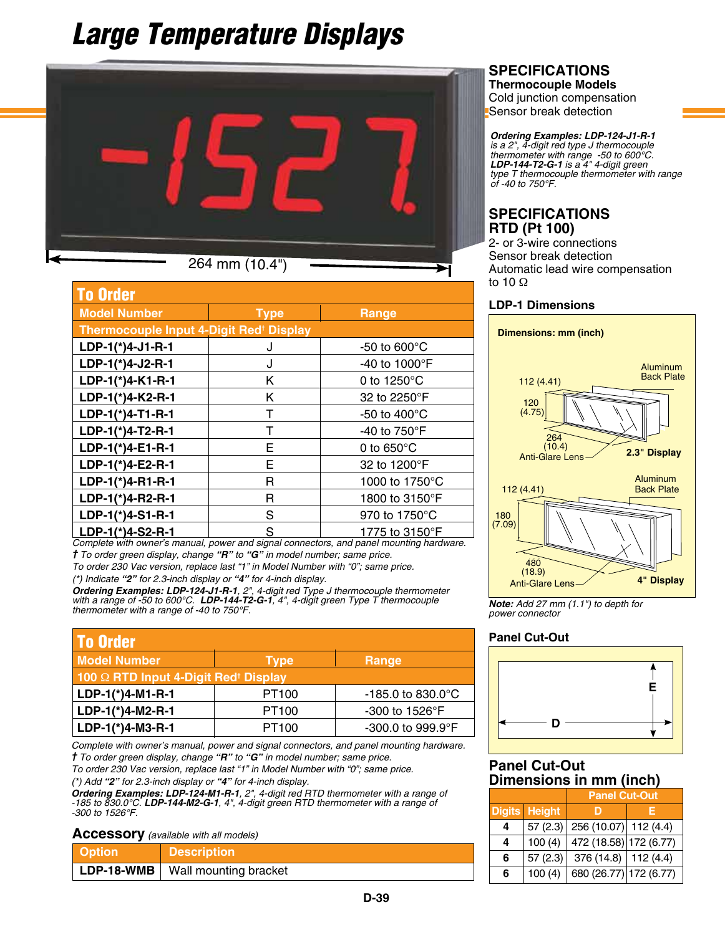# *Large Temperature Displays*



264 mm (10.4")

| <b>To Order</b>                                     |             |                         |
|-----------------------------------------------------|-------------|-------------------------|
| <b>Model Number</b>                                 | <b>Type</b> | Range                   |
| Thermocouple Input 4-Digit Red <sup>+</sup> Display |             |                         |
| LDP-1(*)4-J1-R-1                                    | J           | -50 to $600^{\circ}$ C  |
| LDP-1(*)4-J2-R-1                                    | J           | -40 to 1000°F           |
| LDP-1(*)4-K1-R-1                                    | Κ           | 0 to 1250°C             |
| LDP-1(*)4-K2-R-1                                    | Κ           | 32 to 2250°F            |
| LDP-1(*)4-T1-R-1                                    | т           | -50 to 400 $^{\circ}$ C |
| LDP-1(*)4-T2-R-1                                    | т           | -40 to 750°F            |
| LDP-1(*)4-E1-R-1                                    | Е           | 0 to $650^{\circ}$ C    |
| LDP-1(*)4-E2-R-1                                    | Е           | 32 to 1200°F            |
| LDP-1(*)4-R1-R-1                                    | R           | 1000 to 1750°C          |
| LDP-1(*)4-R2-R-1                                    | R           | 1800 to 3150°F          |
| LDP-1(*)4-S1-R-1                                    | S           | 970 to 1750°C           |
| LDP-1(*)4-S2-R-1                                    | S           | 1775 to 3150°F          |

*Complete with owner's manual, power and signal connectors, and panel mounting hardware. † To order green display, change "R" to "G" in model number; same price.*

*To order 230 Vac version, replace last "1" in Model Number with "0"; same price.*

*(\*) Indicate "2" for 2.3-inch display or "4" for 4-inch display.*

*Ordering Examples: LDP-124-J1-R-1, 2", 4-digit red Type J thermocouple thermometer with a range of -50 to 600°C. LDP-144-T2-G-1, 4", 4-digit green Type T thermocouple thermometer with a range of -40 to 750°F.*

| <b>To Order</b>                                  |                   |                                |
|--------------------------------------------------|-------------------|--------------------------------|
| <b>Model Number</b>                              | <b>Type</b>       | Range                          |
| 100 2 RTD Input 4-Digit Red <sup>+</sup> Display |                   |                                |
| LDP-1(*)4-M1-R-1                                 | PT <sub>100</sub> | $-185.0$ to 830.0 $^{\circ}$ C |
| LDP-1(*)4-M2-R-1                                 | PT <sub>100</sub> | $-300$ to 1526 $\degree$ F     |
| LDP-1(*)4-M3-R-1                                 | PT <sub>100</sub> | -300.0 to 999.9°F              |

*Complete with owner's manual, power and signal connectors, and panel mounting hardware. † To order green display, change "R" to "G" in model number; same price.*

*To order 230 Vac version, replace last "1" in Model Number with "0"; same price. (\*) Add "2" for 2.3-inch display or "4" for 4-inch display.*

*Ordering Examples: LDP-124-M1-R-1, 2", 4-digit red RTD thermometer with a range of -185 to 830.0°C. LDP-144-M2-G-1, 4", 4-digit green RTD thermometer with a range of -300 to 1526°F.*

**Accessory** *(available with all models)*

| <b>Cotion</b>  | <b>Description</b>    |  |
|----------------|-----------------------|--|
| $ $ LDP-18-WMB | Wall mounting bracket |  |

## **SPECIFICATIONS**

**Thermocouple Models** Cold junction compensation Sensor break detection

*Ordering Examples: LDP-124-J1-R-1 is a 2", 4-digit red type J thermocouple thermometer with range -50 to 600°C. LDP-144-T2-G-1 is a 4" 4-digit green type T thermocouple thermometer with range of -40 to 750°F.*

### **SPECIFICATIONS RTD (Pt 100)**

2- or 3-wire connections Sensor break detection Automatic lead wire compensation to 10 Ω

#### **LDP-1 Dimensions**



*Note: Add 27 mm (1.1") to depth for power connector*

#### **Panel Cut-Out**



#### **Panel Cut-Out Dimensions in mm (inch)**

|   |                      | <b>Panel Cut-Out</b>   |          |
|---|----------------------|------------------------|----------|
|   | <b>Digits Height</b> |                        |          |
| 4 | 57(2.3)              | 256 (10.07) 112 (4.4)  |          |
| 4 | 100(4)               | 472 (18.58) 172 (6.77) |          |
| 6 | 57(2.3)              | 376 $(14.8)$           | 112(4.4) |
| 6 | 100(4)               | 680 (26.77) 172 (6.77) |          |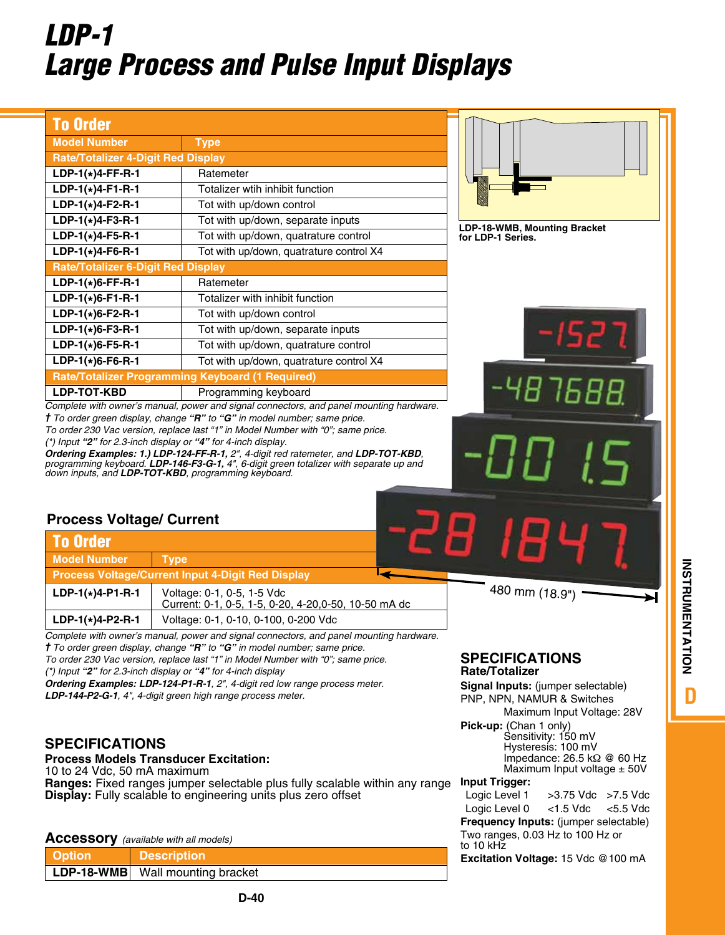# *LDP-1 Large Process and Pulse Input Displays*

| <b>To Order</b>                                                                                        |                                                                                                                                                                                                                                                                                                                                                                                                                                                                                                                                                                                                                                                                                                    |                                                                                                                                                                                                                                                                                                                                                                                                                                                            |
|--------------------------------------------------------------------------------------------------------|----------------------------------------------------------------------------------------------------------------------------------------------------------------------------------------------------------------------------------------------------------------------------------------------------------------------------------------------------------------------------------------------------------------------------------------------------------------------------------------------------------------------------------------------------------------------------------------------------------------------------------------------------------------------------------------------------|------------------------------------------------------------------------------------------------------------------------------------------------------------------------------------------------------------------------------------------------------------------------------------------------------------------------------------------------------------------------------------------------------------------------------------------------------------|
| <b>Model Number</b>                                                                                    | <b>Type</b>                                                                                                                                                                                                                                                                                                                                                                                                                                                                                                                                                                                                                                                                                        |                                                                                                                                                                                                                                                                                                                                                                                                                                                            |
| <b>Rate/Totalizer 4-Digit Red Display</b>                                                              |                                                                                                                                                                                                                                                                                                                                                                                                                                                                                                                                                                                                                                                                                                    |                                                                                                                                                                                                                                                                                                                                                                                                                                                            |
| $LDP-1(*)4-FF-R-1$                                                                                     | Ratemeter                                                                                                                                                                                                                                                                                                                                                                                                                                                                                                                                                                                                                                                                                          |                                                                                                                                                                                                                                                                                                                                                                                                                                                            |
| $LDP-1(*)4-F1-R-1$                                                                                     | Totalizer wtih inhibit function                                                                                                                                                                                                                                                                                                                                                                                                                                                                                                                                                                                                                                                                    |                                                                                                                                                                                                                                                                                                                                                                                                                                                            |
| $LDP-1(*)4-F2-R-1$                                                                                     | Tot with up/down control                                                                                                                                                                                                                                                                                                                                                                                                                                                                                                                                                                                                                                                                           |                                                                                                                                                                                                                                                                                                                                                                                                                                                            |
| $LDP-1(*)4-F3-R-1$                                                                                     | Tot with up/down, separate inputs                                                                                                                                                                                                                                                                                                                                                                                                                                                                                                                                                                                                                                                                  |                                                                                                                                                                                                                                                                                                                                                                                                                                                            |
| $LDP-1(*)4-F5-R-1$                                                                                     | Tot with up/down, quatrature control                                                                                                                                                                                                                                                                                                                                                                                                                                                                                                                                                                                                                                                               | LDP-18-WMB, Mounting Bracket<br>for LDP-1 Series.                                                                                                                                                                                                                                                                                                                                                                                                          |
| $LDP-1(*)$ 4-F6-R-1                                                                                    | Tot with up/down, quatrature control X4                                                                                                                                                                                                                                                                                                                                                                                                                                                                                                                                                                                                                                                            |                                                                                                                                                                                                                                                                                                                                                                                                                                                            |
| <b>Rate/Totalizer 6-Digit Red Display</b>                                                              |                                                                                                                                                                                                                                                                                                                                                                                                                                                                                                                                                                                                                                                                                                    |                                                                                                                                                                                                                                                                                                                                                                                                                                                            |
| $LDP-1(*)$ 6-FF-R-1                                                                                    | Ratemeter                                                                                                                                                                                                                                                                                                                                                                                                                                                                                                                                                                                                                                                                                          |                                                                                                                                                                                                                                                                                                                                                                                                                                                            |
| $LDP-1(*)$ 6-F1-R-1                                                                                    | Totalizer with inhibit function                                                                                                                                                                                                                                                                                                                                                                                                                                                                                                                                                                                                                                                                    |                                                                                                                                                                                                                                                                                                                                                                                                                                                            |
| $LDP-1(*)$ 6-F2-R-1                                                                                    | Tot with up/down control                                                                                                                                                                                                                                                                                                                                                                                                                                                                                                                                                                                                                                                                           |                                                                                                                                                                                                                                                                                                                                                                                                                                                            |
| $LDP-1(*)$ 6-F3-R-1                                                                                    | Tot with up/down, separate inputs                                                                                                                                                                                                                                                                                                                                                                                                                                                                                                                                                                                                                                                                  |                                                                                                                                                                                                                                                                                                                                                                                                                                                            |
| $LDP-1(*)$ 6-F5-R-1                                                                                    | Tot with up/down, quatrature control                                                                                                                                                                                                                                                                                                                                                                                                                                                                                                                                                                                                                                                               |                                                                                                                                                                                                                                                                                                                                                                                                                                                            |
| $LDP-1(*)$ 6-F6-R-1                                                                                    | Tot with up/down, quatrature control X4                                                                                                                                                                                                                                                                                                                                                                                                                                                                                                                                                                                                                                                            |                                                                                                                                                                                                                                                                                                                                                                                                                                                            |
|                                                                                                        | Rate/Totalizer Programming Keyboard (1 Required)                                                                                                                                                                                                                                                                                                                                                                                                                                                                                                                                                                                                                                                   |                                                                                                                                                                                                                                                                                                                                                                                                                                                            |
| LDP-TOT-KBD                                                                                            | Programming keyboard                                                                                                                                                                                                                                                                                                                                                                                                                                                                                                                                                                                                                                                                               |                                                                                                                                                                                                                                                                                                                                                                                                                                                            |
|                                                                                                        | <b>†</b> To order green display, change " $R$ " to " $G$ " in model number; same price.<br>To order 230 Vac version, replace last "1" in Model Number with "0"; same price.<br>$(*)$ Input "2" for 2.3-inch display or "4" for 4-inch display.<br>Ordering Examples: 1.) LDP-124-FF-R-1, 2", 4-digit red ratemeter, and LDP-TOT-KBD,<br>programming keyboard. LDP-146-F3-G-1, 4", 6-digit green totalizer with separate up and<br>down inputs, and LDP-TOT-KBD, programming keyboard.                                                                                                                                                                                                              |                                                                                                                                                                                                                                                                                                                                                                                                                                                            |
| <b>To Order</b><br><b>Model Number</b><br>$LDP-1(*)4-PI- R-1$<br>$LDP-1(*)4- P2- R-1$                  | <b>Type</b><br><b>Process Voltage/Current Input 4-Digit Red Display</b><br>Voltage: 0-1, 0-5, 1-5 Vdc<br>Current: 0-1, 0-5, 1-5, 0-20, 4-20, 0-50, 10-50 mA dc<br>Voltage: 0-1, 0-10, 0-100, 0-200 Vdc                                                                                                                                                                                                                                                                                                                                                                                                                                                                                             | 480 mm (18.9")                                                                                                                                                                                                                                                                                                                                                                                                                                             |
| <b>Process Voltage/ Current</b><br>10 to 24 Vdc, 50 mA maximum                                         | Complete with owner's manual, power and signal connectors, and panel mounting hardware.<br><i>† To order green display, change</i> "R" to "G" in model number; same price.<br>To order 230 Vac version, replace last "1" in Model Number with "0"; same price.<br>(*) Input " $2$ " for 2.3-inch display or " $4$ " for 4-inch display<br>Ordering Examples: LDP-124-P1-R-1, 2", 4-digit red low range process meter.<br><b>LDP-144-P2-G-1.</b> 4", 4-digit green high range process meter.<br><b>Process Models Transducer Excitation:</b><br>Ranges: Fixed ranges jumper selectable plus fully scalable within any range<br><b>Display:</b> Fully scalable to engineering units plus zero offset | <b>SPECIFICATIONS</b><br><b>Rate/Totalizer</b><br>Signal Inputs: (jumper selectable)<br>PNP, NPN, NAMUR & Switches<br>Maximum Input Voltage: 28V<br>Pick-up: (Chan 1 only)<br>Sensitivity: 150 mV<br>Hysteresis: 100 mV<br>Impedance: $26.5$ k $\Omega$ @ 60 Hz<br>Maximum Input voltage $\pm$ 50V<br><b>Input Trigger:</b><br>Logic Level 1<br>>3.75 Vdc >7.5 Vdc<br>Logic Level 0<br>$<$ 1.5 Vdc<br>$<$ 5.5 Vdc<br>Frequency Inputs: (jumper selectable) |
|                                                                                                        |                                                                                                                                                                                                                                                                                                                                                                                                                                                                                                                                                                                                                                                                                                    | Two ranges, 0.03 Hz to 100 Hz or<br>to 10 kHz                                                                                                                                                                                                                                                                                                                                                                                                              |
| <b>SPECIFICATIONS</b><br><b>Accessory</b> (available with all models)<br><b>Option</b><br>$LDP-18-WMB$ | <b>Description</b><br>Wall mounting bracket                                                                                                                                                                                                                                                                                                                                                                                                                                                                                                                                                                                                                                                        | Excitation Voltage: 15 Vdc @100 mA                                                                                                                                                                                                                                                                                                                                                                                                                         |